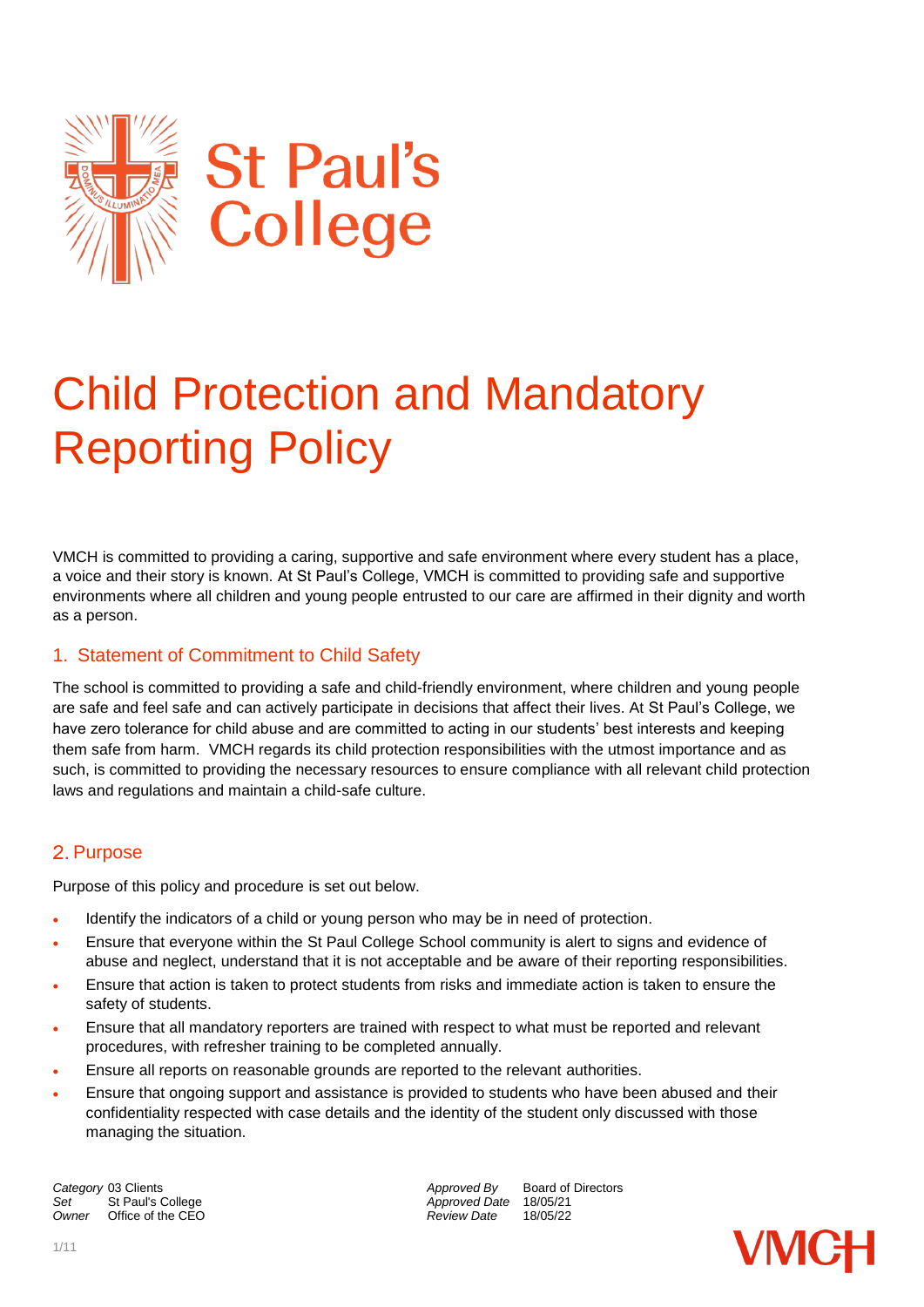

# Child Protection and Mandatory Reporting Policy

VMCH is committed to providing a caring, supportive and safe environment where every student has a place, a voice and their story is known. At St Paul's College, VMCH is committed to providing safe and supportive environments where all children and young people entrusted to our care are affirmed in their dignity and worth as a person.

## 1. Statement of Commitment to Child Safety

The school is committed to providing a safe and child-friendly environment, where children and young people are safe and feel safe and can actively participate in decisions that affect their lives. At St Paul's College, we have zero tolerance for child abuse and are committed to acting in our students' best interests and keeping them safe from harm. VMCH regards its child protection responsibilities with the utmost importance and as such, is committed to providing the necessary resources to ensure compliance with all relevant child protection laws and regulations and maintain a child-safe culture.

## 2. Purpose

Purpose of this policy and procedure is set out below.

- Identify the indicators of a child or young person who may be in need of protection.
- Ensure that everyone within the St Paul College School community is alert to signs and evidence of abuse and neglect, understand that it is not acceptable and be aware of their reporting responsibilities.
- Ensure that action is taken to protect students from risks and immediate action is taken to ensure the safety of students.
- Ensure that all mandatory reporters are trained with respect to what must be reported and relevant procedures, with refresher training to be completed annually.
- Ensure all reports on reasonable grounds are reported to the relevant authorities.
- Ensure that ongoing support and assistance is provided to students who have been abused and their confidentiality respected with case details and the identity of the student only discussed with those managing the situation.

**Category** 03 Clients **Approved By** Board of Directors *Approved By* Board of Directors *Approved Date* 18/05/21 Set St Paul's College **Approved Date** 18/05/21<br>
Owner Office of the CEO **Approved Date** 18/05/22 *Office of the CEO* 

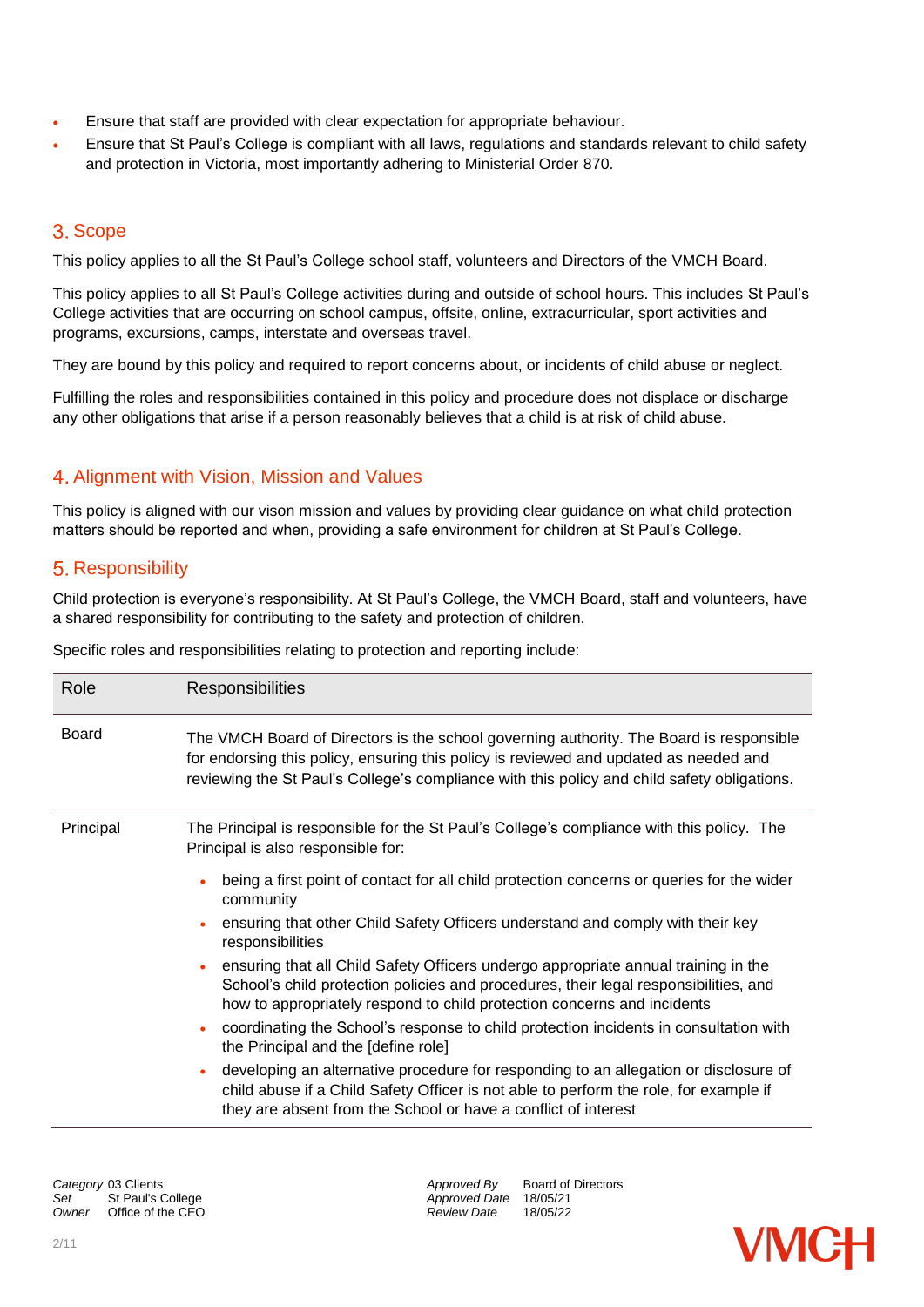- Ensure that staff are provided with clear expectation for appropriate behaviour.
- Ensure that St Paul's College is compliant with all laws, regulations and standards relevant to child safety and protection in Victoria, most importantly adhering to Ministerial Order 870.

## 3. Scope

This policy applies to all the St Paul's College school staff, volunteers and Directors of the VMCH Board.

This policy applies to all St Paul's College activities during and outside of school hours. This includes St Paul's College activities that are occurring on school campus, offsite, online, extracurricular, sport activities and programs, excursions, camps, interstate and overseas travel.

They are bound by this policy and required to report concerns about, or incidents of child abuse or neglect.

Fulfilling the roles and responsibilities contained in this policy and procedure does not displace or discharge any other obligations that arise if a person reasonably believes that a child is at risk of child abuse.

## 4. Alignment with Vision, Mission and Values

This policy is aligned with our vison mission and values by providing clear guidance on what child protection matters should be reported and when, providing a safe environment for children at St Paul's College.

## 5. Responsibility

Child protection is everyone's responsibility. At St Paul's College, the VMCH Board, staff and volunteers, have a shared responsibility for contributing to the safety and protection of children.

Specific roles and responsibilities relating to protection and reporting include:

| Role         | <b>Responsibilities</b>                                                                                                                                                                                                                                                                                                                                                                                                                                                                                                                                                                                                                                                                                                                                                                                                                                                                                                                                                                     |
|--------------|---------------------------------------------------------------------------------------------------------------------------------------------------------------------------------------------------------------------------------------------------------------------------------------------------------------------------------------------------------------------------------------------------------------------------------------------------------------------------------------------------------------------------------------------------------------------------------------------------------------------------------------------------------------------------------------------------------------------------------------------------------------------------------------------------------------------------------------------------------------------------------------------------------------------------------------------------------------------------------------------|
| <b>Board</b> | The VMCH Board of Directors is the school governing authority. The Board is responsible<br>for endorsing this policy, ensuring this policy is reviewed and updated as needed and<br>reviewing the St Paul's College's compliance with this policy and child safety obligations.                                                                                                                                                                                                                                                                                                                                                                                                                                                                                                                                                                                                                                                                                                             |
| Principal    | The Principal is responsible for the St Paul's College's compliance with this policy. The<br>Principal is also responsible for:<br>being a first point of contact for all child protection concerns or queries for the wider<br>community<br>ensuring that other Child Safety Officers understand and comply with their key<br>responsibilities<br>ensuring that all Child Safety Officers undergo appropriate annual training in the<br>School's child protection policies and procedures, their legal responsibilities, and<br>how to appropriately respond to child protection concerns and incidents<br>coordinating the School's response to child protection incidents in consultation with<br>the Principal and the [define role]<br>developing an alternative procedure for responding to an allegation or disclosure of<br>child abuse if a Child Safety Officer is not able to perform the role, for example if<br>they are absent from the School or have a conflict of interest |

*Set* St Paul's College *Approved Date* 18/05/21

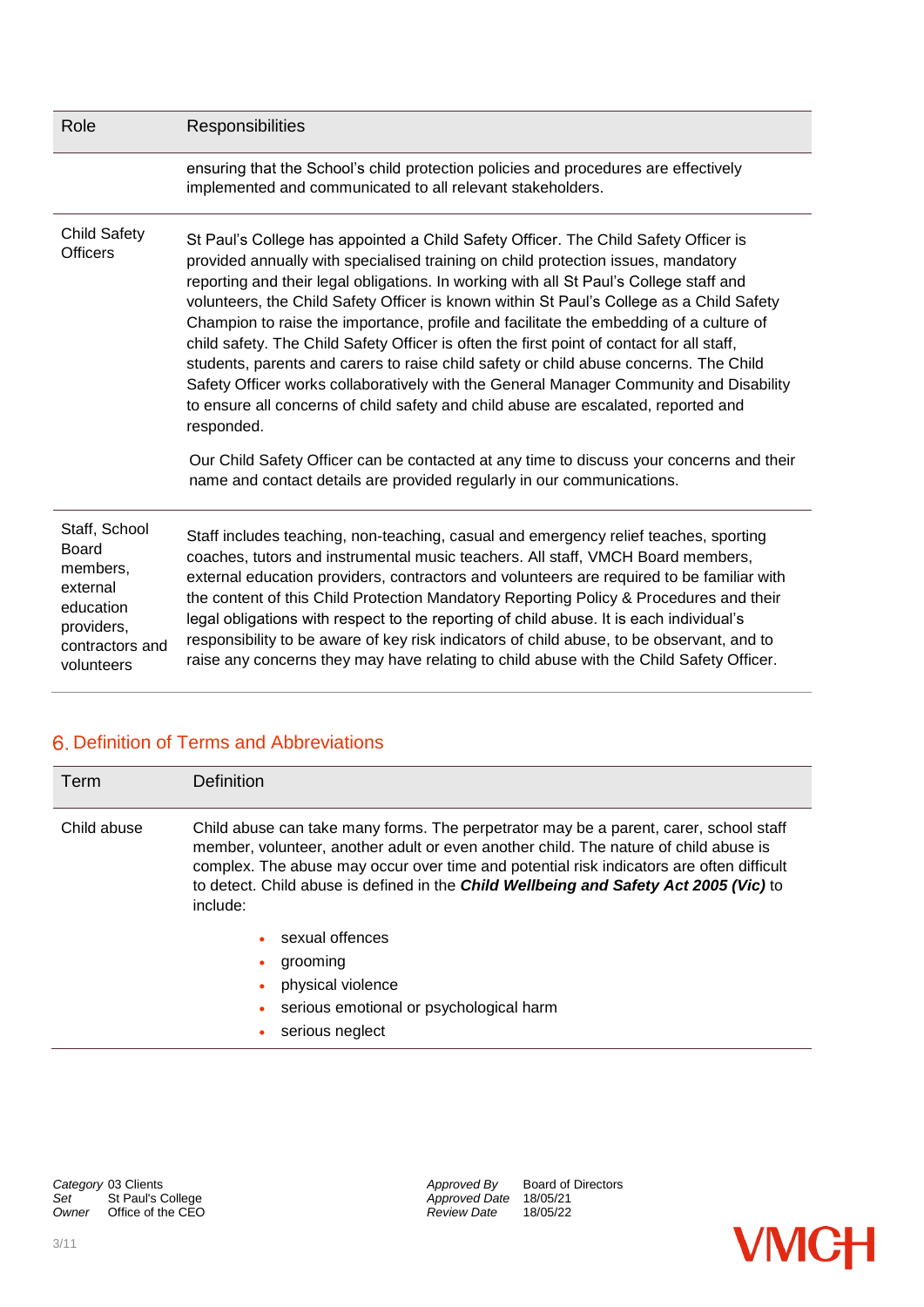| Role                                                                                                              | Responsibilities                                                                                                                                                                                                                                                                                                                                                                                                                                                                                                                                                                                                                                                                                                                                                                                                                                                                                                                                                                                                   |
|-------------------------------------------------------------------------------------------------------------------|--------------------------------------------------------------------------------------------------------------------------------------------------------------------------------------------------------------------------------------------------------------------------------------------------------------------------------------------------------------------------------------------------------------------------------------------------------------------------------------------------------------------------------------------------------------------------------------------------------------------------------------------------------------------------------------------------------------------------------------------------------------------------------------------------------------------------------------------------------------------------------------------------------------------------------------------------------------------------------------------------------------------|
|                                                                                                                   | ensuring that the School's child protection policies and procedures are effectively<br>implemented and communicated to all relevant stakeholders.                                                                                                                                                                                                                                                                                                                                                                                                                                                                                                                                                                                                                                                                                                                                                                                                                                                                  |
| <b>Child Safety</b><br><b>Officers</b>                                                                            | St Paul's College has appointed a Child Safety Officer. The Child Safety Officer is<br>provided annually with specialised training on child protection issues, mandatory<br>reporting and their legal obligations. In working with all St Paul's College staff and<br>volunteers, the Child Safety Officer is known within St Paul's College as a Child Safety<br>Champion to raise the importance, profile and facilitate the embedding of a culture of<br>child safety. The Child Safety Officer is often the first point of contact for all staff,<br>students, parents and carers to raise child safety or child abuse concerns. The Child<br>Safety Officer works collaboratively with the General Manager Community and Disability<br>to ensure all concerns of child safety and child abuse are escalated, reported and<br>responded.<br>Our Child Safety Officer can be contacted at any time to discuss your concerns and their<br>name and contact details are provided regularly in our communications. |
| Staff, School<br><b>Board</b><br>members.<br>external<br>education<br>providers,<br>contractors and<br>volunteers | Staff includes teaching, non-teaching, casual and emergency relief teaches, sporting<br>coaches, tutors and instrumental music teachers. All staff, VMCH Board members,<br>external education providers, contractors and volunteers are required to be familiar with<br>the content of this Child Protection Mandatory Reporting Policy & Procedures and their<br>legal obligations with respect to the reporting of child abuse. It is each individual's<br>responsibility to be aware of key risk indicators of child abuse, to be observant, and to<br>raise any concerns they may have relating to child abuse with the Child Safety Officer.                                                                                                                                                                                                                                                                                                                                                                  |

# 6. Definition of Terms and Abbreviations

| Term        | <b>Definition</b>                                                                                                                                                                                                                                                                                                                                                              |
|-------------|--------------------------------------------------------------------------------------------------------------------------------------------------------------------------------------------------------------------------------------------------------------------------------------------------------------------------------------------------------------------------------|
| Child abuse | Child abuse can take many forms. The perpetrator may be a parent, carer, school staff<br>member, volunteer, another adult or even another child. The nature of child abuse is<br>complex. The abuse may occur over time and potential risk indicators are often difficult<br>to detect. Child abuse is defined in the Child Wellbeing and Safety Act 2005 (Vic) to<br>include: |
|             | sexual offences<br>٠<br>grooming                                                                                                                                                                                                                                                                                                                                               |

- physical violence
- serious emotional or psychological harm
- serious neglect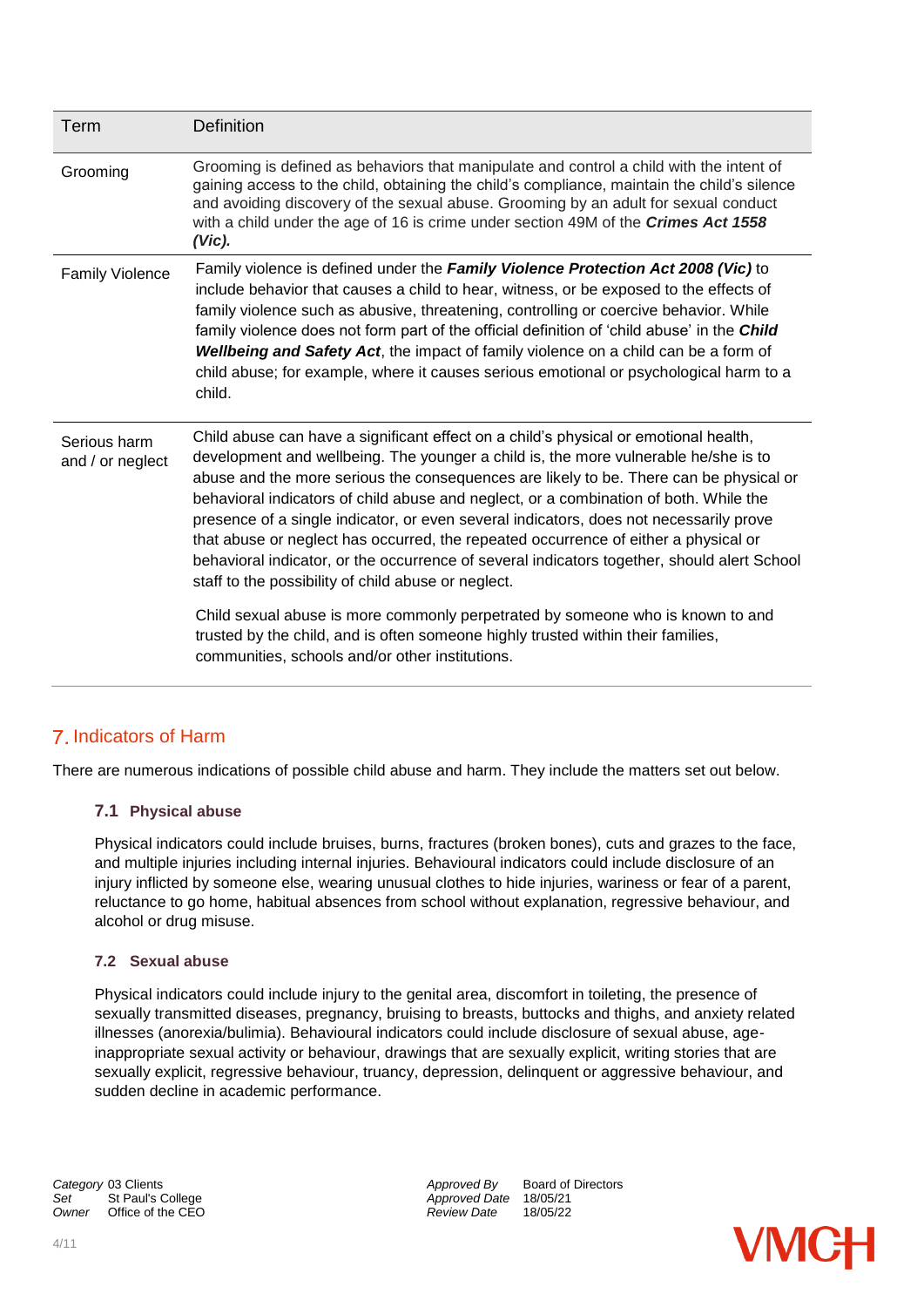| Grooming is defined as behaviors that manipulate and control a child with the intent of<br>gaining access to the child, obtaining the child's compliance, maintain the child's silence<br>and avoiding discovery of the sexual abuse. Grooming by an adult for sexual conduct<br>with a child under the age of 16 is crime under section 49M of the Crimes Act 1558<br>$(Vic)$ .                                                                                                                                                                                                                                                                                                                                                                                                                                                                                                                                               |
|--------------------------------------------------------------------------------------------------------------------------------------------------------------------------------------------------------------------------------------------------------------------------------------------------------------------------------------------------------------------------------------------------------------------------------------------------------------------------------------------------------------------------------------------------------------------------------------------------------------------------------------------------------------------------------------------------------------------------------------------------------------------------------------------------------------------------------------------------------------------------------------------------------------------------------|
|                                                                                                                                                                                                                                                                                                                                                                                                                                                                                                                                                                                                                                                                                                                                                                                                                                                                                                                                |
| Family violence is defined under the Family Violence Protection Act 2008 (Vic) to<br>include behavior that causes a child to hear, witness, or be exposed to the effects of<br>family violence such as abusive, threatening, controlling or coercive behavior. While<br>family violence does not form part of the official definition of 'child abuse' in the Child<br>Wellbeing and Safety Act, the impact of family violence on a child can be a form of<br>child abuse; for example, where it causes serious emotional or psychological harm to a<br>child.                                                                                                                                                                                                                                                                                                                                                                 |
| Child abuse can have a significant effect on a child's physical or emotional health,<br>development and wellbeing. The younger a child is, the more vulnerable he/she is to<br>abuse and the more serious the consequences are likely to be. There can be physical or<br>behavioral indicators of child abuse and neglect, or a combination of both. While the<br>presence of a single indicator, or even several indicators, does not necessarily prove<br>that abuse or neglect has occurred, the repeated occurrence of either a physical or<br>behavioral indicator, or the occurrence of several indicators together, should alert School<br>staff to the possibility of child abuse or neglect.<br>Child sexual abuse is more commonly perpetrated by someone who is known to and<br>trusted by the child, and is often someone highly trusted within their families,<br>communities, schools and/or other institutions. |
|                                                                                                                                                                                                                                                                                                                                                                                                                                                                                                                                                                                                                                                                                                                                                                                                                                                                                                                                |

## Indicators of Harm

There are numerous indications of possible child abuse and harm. They include the matters set out below.

#### **7.1 Physical abuse**

Physical indicators could include bruises, burns, fractures (broken bones), cuts and grazes to the face, and multiple injuries including internal injuries. Behavioural indicators could include disclosure of an injury inflicted by someone else, wearing unusual clothes to hide injuries, wariness or fear of a parent, reluctance to go home, habitual absences from school without explanation, regressive behaviour, and alcohol or drug misuse.

#### **7.2 Sexual abuse**

Physical indicators could include injury to the genital area, discomfort in toileting, the presence of sexually transmitted diseases, pregnancy, bruising to breasts, buttocks and thighs, and anxiety related illnesses (anorexia/bulimia). Behavioural indicators could include disclosure of sexual abuse, ageinappropriate sexual activity or behaviour, drawings that are sexually explicit, writing stories that are sexually explicit, regressive behaviour, truancy, depression, delinquent or aggressive behaviour, and sudden decline in academic performance.

St Paul's College *St Paul's College Approved Date* 18/05/21<br>
Office of the CEO **Approved Date** 18/05/22

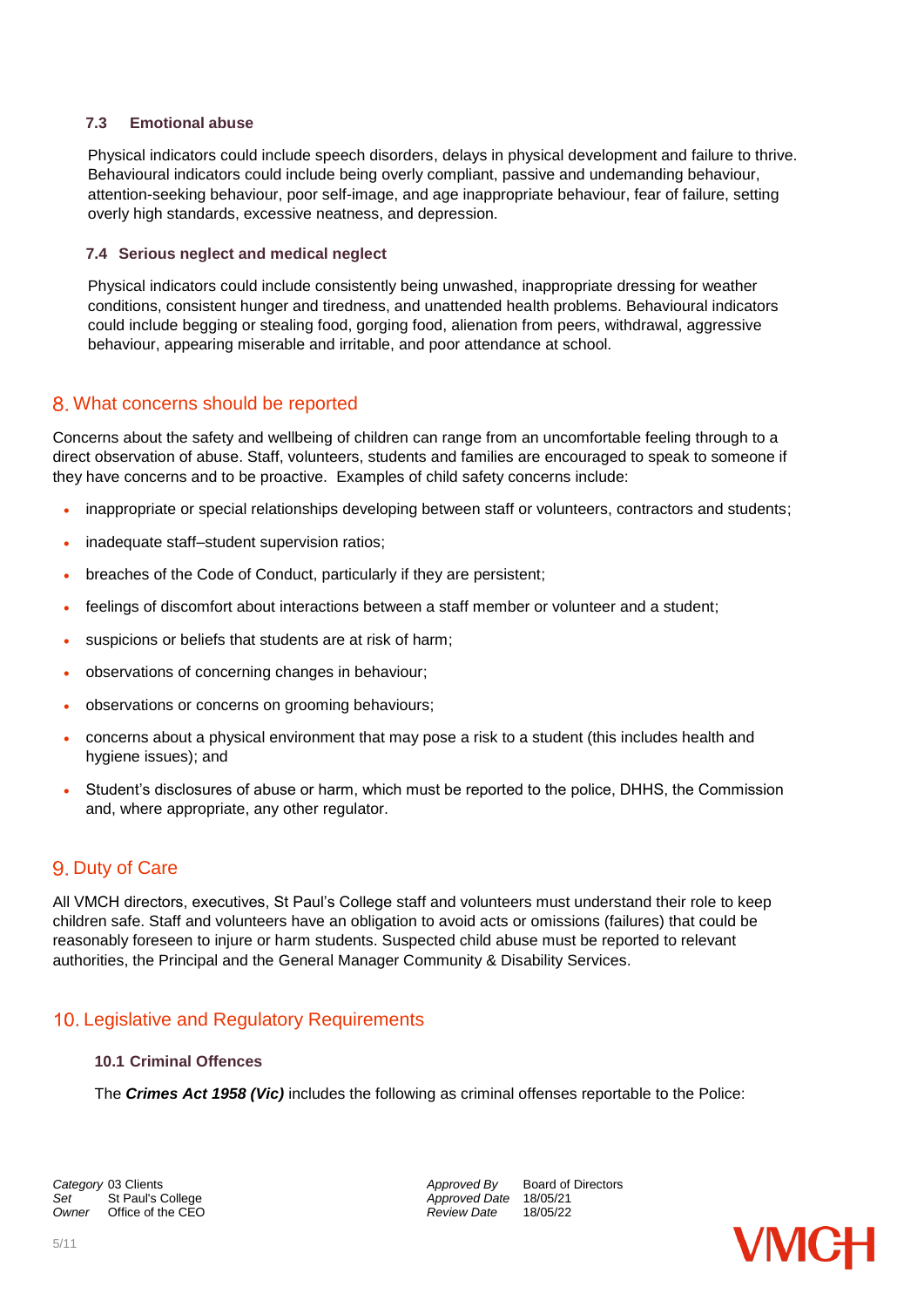#### **7.3 Emotional abuse**

Physical indicators could include speech disorders, delays in physical development and failure to thrive. Behavioural indicators could include being overly compliant, passive and undemanding behaviour, attention-seeking behaviour, poor self-image, and age inappropriate behaviour, fear of failure, setting overly high standards, excessive neatness, and depression.

#### **7.4 Serious neglect and medical neglect**

Physical indicators could include consistently being unwashed, inappropriate dressing for weather conditions, consistent hunger and tiredness, and unattended health problems. Behavioural indicators could include begging or stealing food, gorging food, alienation from peers, withdrawal, aggressive behaviour, appearing miserable and irritable, and poor attendance at school.

### What concerns should be reported

Concerns about the safety and wellbeing of children can range from an uncomfortable feeling through to a direct observation of abuse. Staff, volunteers, students and families are encouraged to speak to someone if they have concerns and to be proactive. Examples of child safety concerns include:

- inappropriate or special relationships developing between staff or volunteers, contractors and students;
- inadequate staff–student supervision ratios;
- breaches of the Code of Conduct, particularly if they are persistent;
- feelings of discomfort about interactions between a staff member or volunteer and a student;
- suspicions or beliefs that students are at risk of harm;
- observations of concerning changes in behaviour;
- observations or concerns on grooming behaviours;
- concerns about a physical environment that may pose a risk to a student (this includes health and hygiene issues); and
- Student's disclosures of abuse or harm, which must be reported to the police, DHHS, the Commission and, where appropriate, any other regulator.

## 9. Duty of Care

All VMCH directors, executives, St Paul's College staff and volunteers must understand their role to keep children safe. Staff and volunteers have an obligation to avoid acts or omissions (failures) that could be reasonably foreseen to injure or harm students. Suspected child abuse must be reported to relevant authorities, the Principal and the General Manager Community & Disability Services.

## 10. Legislative and Regulatory Requirements

#### **10.1 Criminal Offences**

The *Crimes Act 1958 (Vic)* includes the following as criminal offenses reportable to the Police:

*Owner* Office of the CEO *Review Date* 18/05/22

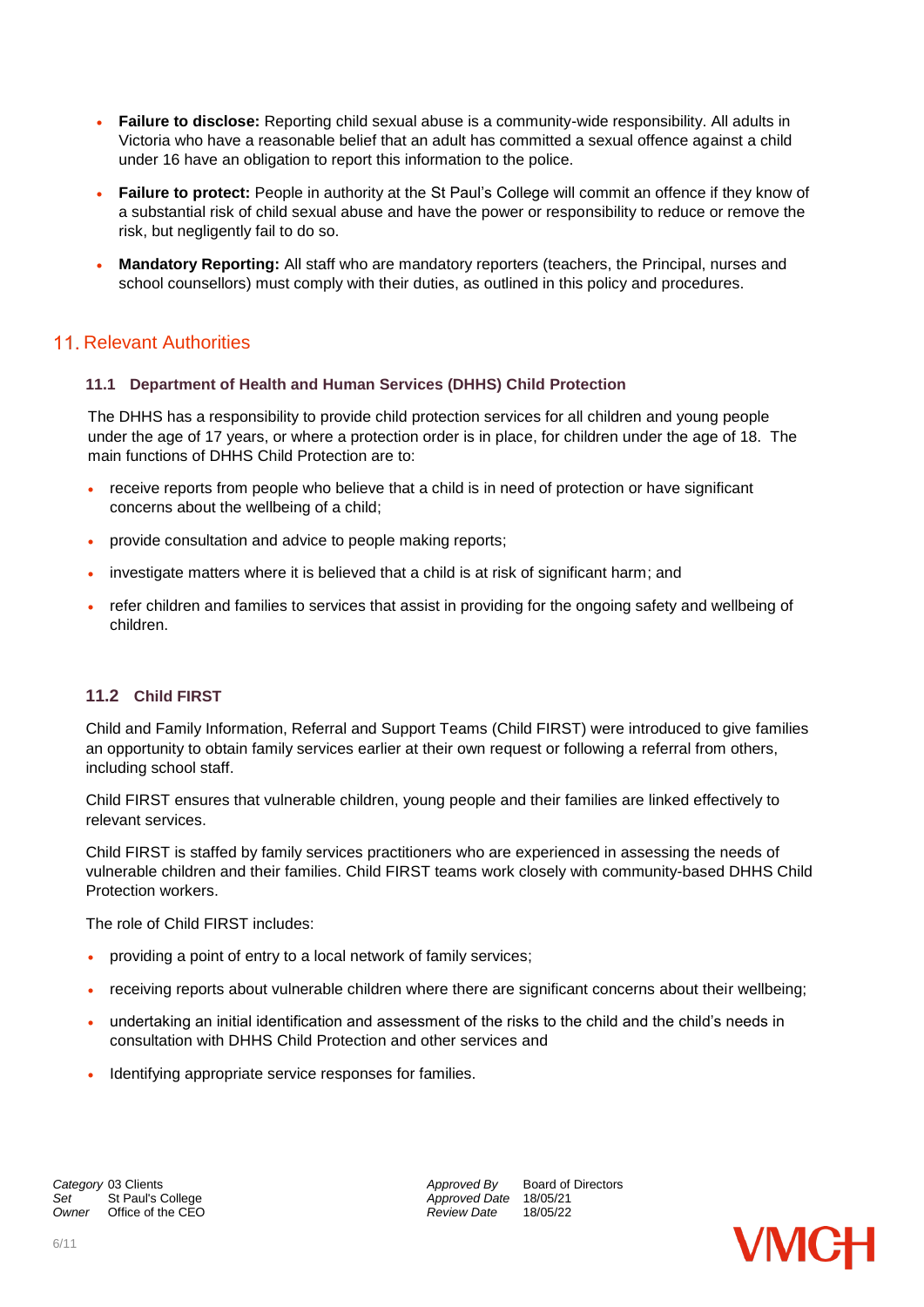- **Failure to disclose:** Reporting child sexual abuse is a community-wide responsibility. All adults in Victoria who have a reasonable belief that an adult has committed a sexual offence against a child under 16 have an obligation to report this information to the police.
- **Failure to protect:** People in authority at the St Paul's College will commit an offence if they know of a substantial risk of child sexual abuse and have the power or responsibility to reduce or remove the risk, but negligently fail to do so.
- **Mandatory Reporting:** All staff who are mandatory reporters (teachers, the Principal, nurses and school counsellors) must comply with their duties, as outlined in this policy and procedures.

## 11. Relevant Authorities

#### **11.1 Department of Health and Human Services (DHHS) Child Protection**

The DHHS has a responsibility to provide child protection services for all children and young people under the age of 17 years, or where a protection order is in place, for children under the age of 18. The main functions of DHHS Child Protection are to:

- receive reports from people who believe that a child is in need of protection or have significant concerns about the wellbeing of a child;
- provide consultation and advice to people making reports;
- investigate matters where it is believed that a child is at risk of significant harm; and
- refer children and families to services that assist in providing for the ongoing safety and wellbeing of children.

#### **11.2 Child FIRST**

Child and Family Information, Referral and Support Teams (Child FIRST) were introduced to give families an opportunity to obtain family services earlier at their own request or following a referral from others, including school staff.

Child FIRST ensures that vulnerable children, young people and their families are linked effectively to relevant services.

Child FIRST is staffed by family services practitioners who are experienced in assessing the needs of vulnerable children and their families. Child FIRST teams work closely with community-based DHHS Child Protection workers.

The role of Child FIRST includes:

- providing a point of entry to a local network of family services;
- receiving reports about vulnerable children where there are significant concerns about their wellbeing;
- undertaking an initial identification and assessment of the risks to the child and the child's needs in consultation with DHHS Child Protection and other services and
- Identifying appropriate service responses for families.

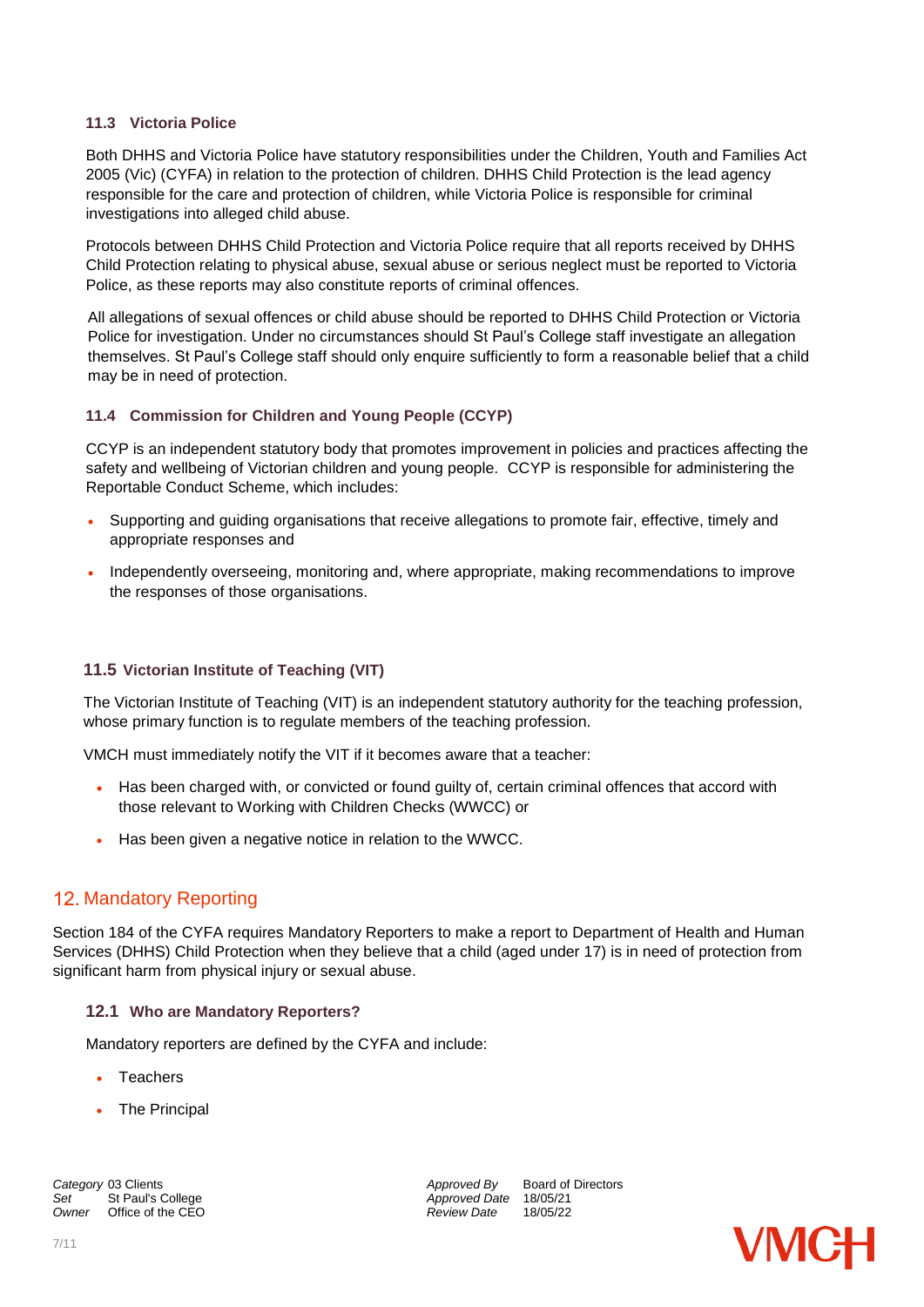#### **11.3 Victoria Police**

Both DHHS and Victoria Police have statutory responsibilities under the Children, Youth and Families Act 2005 (Vic) (CYFA) in relation to the protection of children. DHHS Child Protection is the lead agency responsible for the care and protection of children, while Victoria Police is responsible for criminal investigations into alleged child abuse.

Protocols between DHHS Child Protection and Victoria Police require that all reports received by DHHS Child Protection relating to physical abuse, sexual abuse or serious neglect must be reported to Victoria Police, as these reports may also constitute reports of criminal offences.

All allegations of sexual offences or child abuse should be reported to DHHS Child Protection or Victoria Police for investigation. Under no circumstances should St Paul's College staff investigate an allegation themselves. St Paul's College staff should only enquire sufficiently to form a reasonable belief that a child may be in need of protection.

#### **11.4 Commission for Children and Young People (CCYP)**

CCYP is an independent statutory body that promotes improvement in policies and practices affecting the safety and wellbeing of Victorian children and young people. CCYP is responsible for administering the Reportable Conduct Scheme, which includes:

- Supporting and guiding organisations that receive allegations to promote fair, effective, timely and appropriate responses and
- Independently overseeing, monitoring and, where appropriate, making recommendations to improve the responses of those organisations.

#### **11.5 Victorian Institute of Teaching (VIT)**

The Victorian Institute of Teaching (VIT) is an independent statutory authority for the teaching profession, whose primary function is to regulate members of the teaching profession.

VMCH must immediately notify the VIT if it becomes aware that a teacher:

- Has been charged with, or convicted or found guilty of, certain criminal offences that accord with those relevant to Working with Children Checks (WWCC) or
- Has been given a negative notice in relation to the WWCC.

## 12. Mandatory Reporting

Section 184 of the CYFA requires Mandatory Reporters to make a report to Department of Health and Human Services (DHHS) Child Protection when they believe that a child (aged under 17) is in need of protection from significant harm from physical injury or sexual abuse.

#### **12.1 Who are Mandatory Reporters?**

Mandatory reporters are defined by the CYFA and include:

- **Teachers**
- The Principal

**Category** 03 Clients **Approved By** Board of Directors *Approved By* Board of Directors *Approved By* Board of Directors *Owner* Office of the CEO *Review Date* 18/05/22

*Set* St Paul's College *Approved Date* 18/05/21

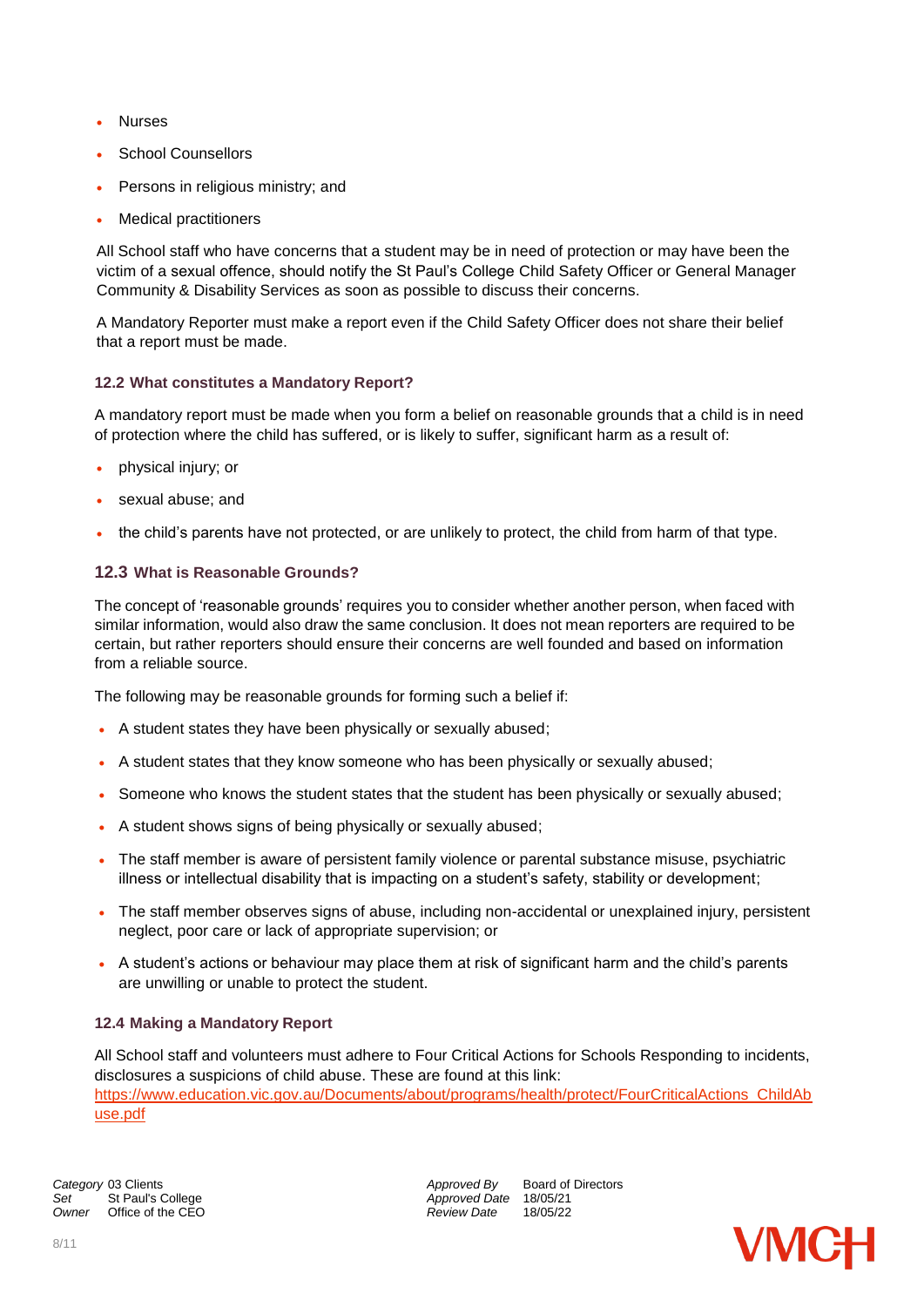- Nurses
- School Counsellors
- Persons in religious ministry; and
- Medical practitioners

All School staff who have concerns that a student may be in need of protection or may have been the victim of a sexual offence, should notify the St Paul's College Child Safety Officer or General Manager Community & Disability Services as soon as possible to discuss their concerns.

A Mandatory Reporter must make a report even if the Child Safety Officer does not share their belief that a report must be made.

#### **12.2 What constitutes a Mandatory Report?**

A mandatory report must be made when you form a belief on reasonable grounds that a child is in need of protection where the child has suffered, or is likely to suffer, significant harm as a result of:

- physical injury; or
- sexual abuse; and
- the child's parents have not protected, or are unlikely to protect, the child from harm of that type.

#### **12.3 What is Reasonable Grounds?**

The concept of 'reasonable grounds' requires you to consider whether another person, when faced with similar information, would also draw the same conclusion. It does not mean reporters are required to be certain, but rather reporters should ensure their concerns are well founded and based on information from a reliable source.

The following may be reasonable grounds for forming such a belief if:

- A student states they have been physically or sexually abused;
- A student states that they know someone who has been physically or sexually abused;
- Someone who knows the student states that the student has been physically or sexually abused;
- A student shows signs of being physically or sexually abused;
- The staff member is aware of persistent family violence or parental substance misuse, psychiatric illness or intellectual disability that is impacting on a student's safety, stability or development;
- The staff member observes signs of abuse, including non-accidental or unexplained injury, persistent neglect, poor care or lack of appropriate supervision; or
- A student's actions or behaviour may place them at risk of significant harm and the child's parents are unwilling or unable to protect the student.

#### **12.4 Making a Mandatory Report**

All School staff and volunteers must adhere to Four Critical Actions for Schools Responding to incidents, disclosures a suspicions of child abuse. These are found at this link: [https://www.education.vic.gov.au/Documents/about/programs/health/protect/FourCriticalActions\\_ChildAb](https://www.education.vic.gov.au/Documents/about/programs/health/protect/FourCriticalActions_ChildAbuse.pdf) [use.pdf](https://www.education.vic.gov.au/Documents/about/programs/health/protect/FourCriticalActions_ChildAbuse.pdf)

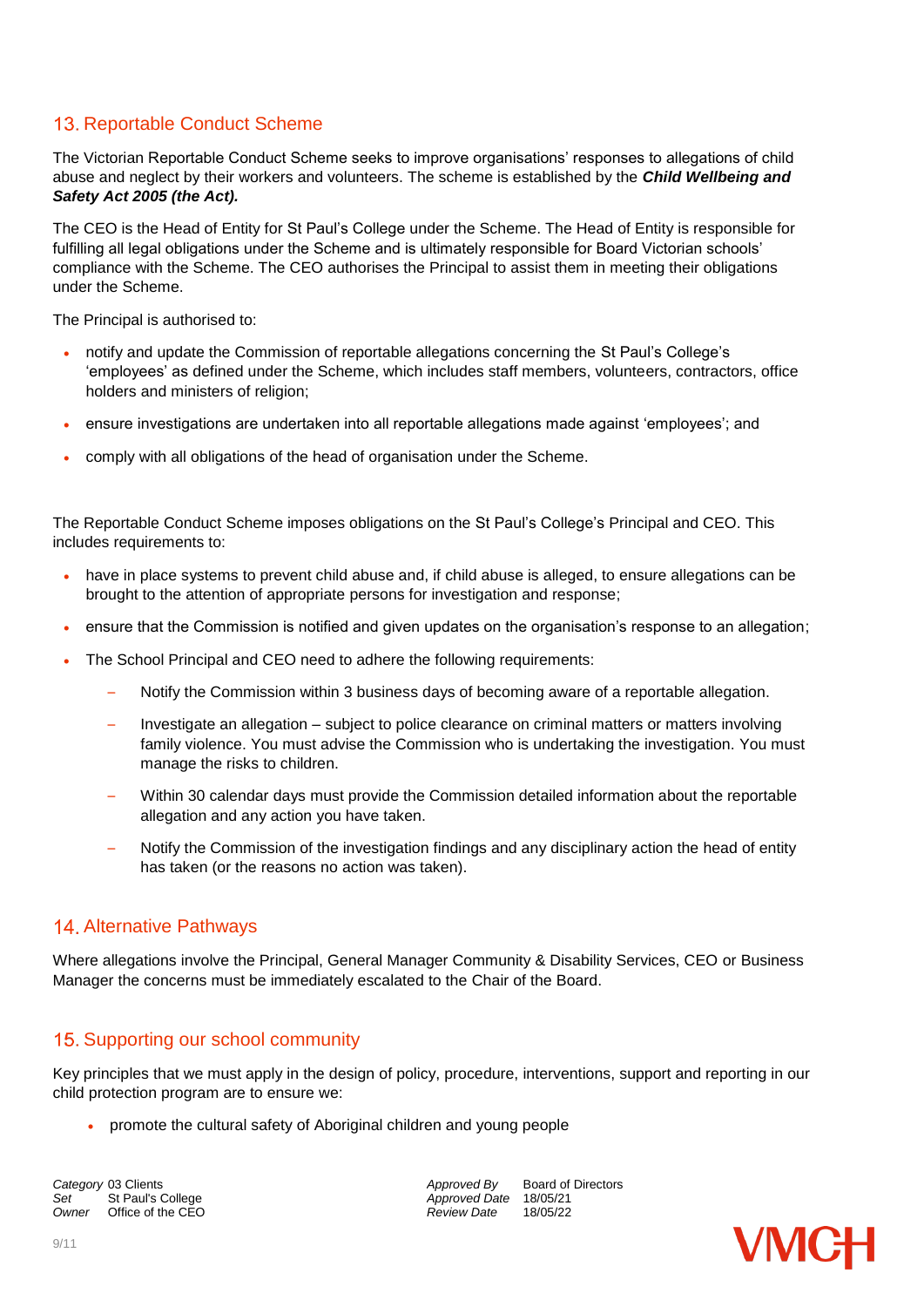# 13. Reportable Conduct Scheme

The Victorian Reportable Conduct Scheme seeks to improve organisations' responses to allegations of child abuse and neglect by their workers and volunteers. The scheme is established by the *Child Wellbeing and Safety Act 2005 (the Act).*

The CEO is the Head of Entity for St Paul's College under the Scheme. The Head of Entity is responsible for fulfilling all legal obligations under the Scheme and is ultimately responsible for Board Victorian schools' compliance with the Scheme. The CEO authorises the Principal to assist them in meeting their obligations under the Scheme.

The Principal is authorised to:

- notify and update the Commission of reportable allegations concerning the St Paul's College's 'employees' as defined under the Scheme, which includes staff members, volunteers, contractors, office holders and ministers of religion;
- ensure investigations are undertaken into all reportable allegations made against 'employees'; and
- comply with all obligations of the head of organisation under the Scheme.

The Reportable Conduct Scheme imposes obligations on the St Paul's College's Principal and CEO. This includes requirements to:

- have in place systems to prevent child abuse and, if child abuse is alleged, to ensure allegations can be brought to the attention of appropriate persons for investigation and response;
- ensure that the Commission is notified and given updates on the organisation's response to an allegation;
- The School Principal and CEO need to adhere the following requirements:
	- Notify the Commission within 3 business days of becoming aware of a reportable allegation.
	- Investigate an allegation subject to police clearance on criminal matters or matters involving family violence. You must advise the Commission who is undertaking the investigation. You must manage the risks to children.
	- Within 30 calendar days must provide the Commission detailed information about the reportable allegation and any action you have taken.
	- Notify the Commission of the investigation findings and any disciplinary action the head of entity has taken (or the reasons no action was taken).

## 14. Alternative Pathways

Where allegations involve the Principal, General Manager Community & Disability Services, CEO or Business Manager the concerns must be immediately escalated to the Chair of the Board.

## 15. Supporting our school community

Key principles that we must apply in the design of policy, procedure, interventions, support and reporting in our child protection program are to ensure we:

• promote the cultural safety of Aboriginal children and young people

*Owner* Office of the CEO *Review Date* 18/05/22

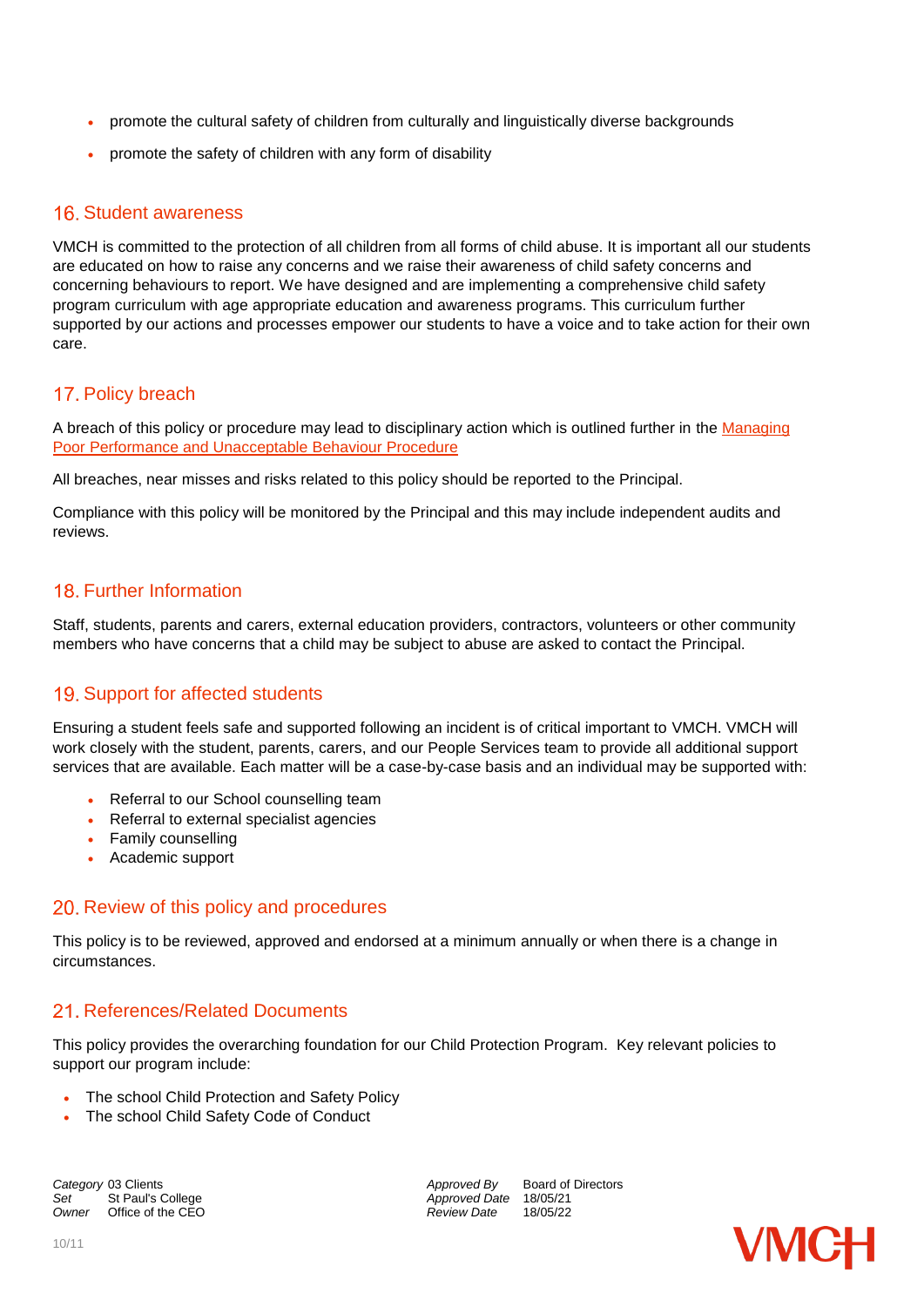- promote the cultural safety of children from culturally and linguistically diverse backgrounds
- promote the safety of children with any form of disability

#### 16. Student awareness

VMCH is committed to the protection of all children from all forms of child abuse. It is important all our students are educated on how to raise any concerns and we raise their awareness of child safety concerns and concerning behaviours to report. We have designed and are implementing a comprehensive child safety program curriculum with age appropriate education and awareness programs. This curriculum further supported by our actions and processes empower our students to have a voice and to take action for their own care.

### 17. Policy breach

A breach of this policy or procedure may lead to disciplinary action which is outlined further in the Managing [Poor Performance and Unacceptable Behaviour Procedure](https://vmch.sharepoint.com/sites/theHub/PMS/Procedures/Forms/AllItems.aspx?id=%2Fsites%2FtheHub%2FPMS%2FProcedures%2FManaging%20Poor%20Performance%20and%20Unacceptable%20Behaviour%20Procedure%2Epdf&parent=%2Fsites%2FtheHub%2FPMS%2FProcedures)

All breaches, near misses and risks related to this policy should be reported to the Principal.

Compliance with this policy will be monitored by the Principal and this may include independent audits and reviews.

## 18 Further Information

Staff, students, parents and carers, external education providers, contractors, volunteers or other community members who have concerns that a child may be subject to abuse are asked to contact the Principal.

## 19. Support for affected students

Ensuring a student feels safe and supported following an incident is of critical important to VMCH. VMCH will work closely with the student, parents, carers, and our People Services team to provide all additional support services that are available. Each matter will be a case-by-case basis and an individual may be supported with:

- Referral to our School counselling team
- Referral to external specialist agencies
- Family counselling
- Academic support

#### 20. Review of this policy and procedures

This policy is to be reviewed, approved and endorsed at a minimum annually or when there is a change in circumstances.

#### 21. References/Related Documents

This policy provides the overarching foundation for our Child Protection Program. Key relevant policies to support our program include:

- The school Child Protection and Safety Policy
- The school Child Safety Code of Conduct

*Owner* Office of the CEO *Review Date* 18/05/22

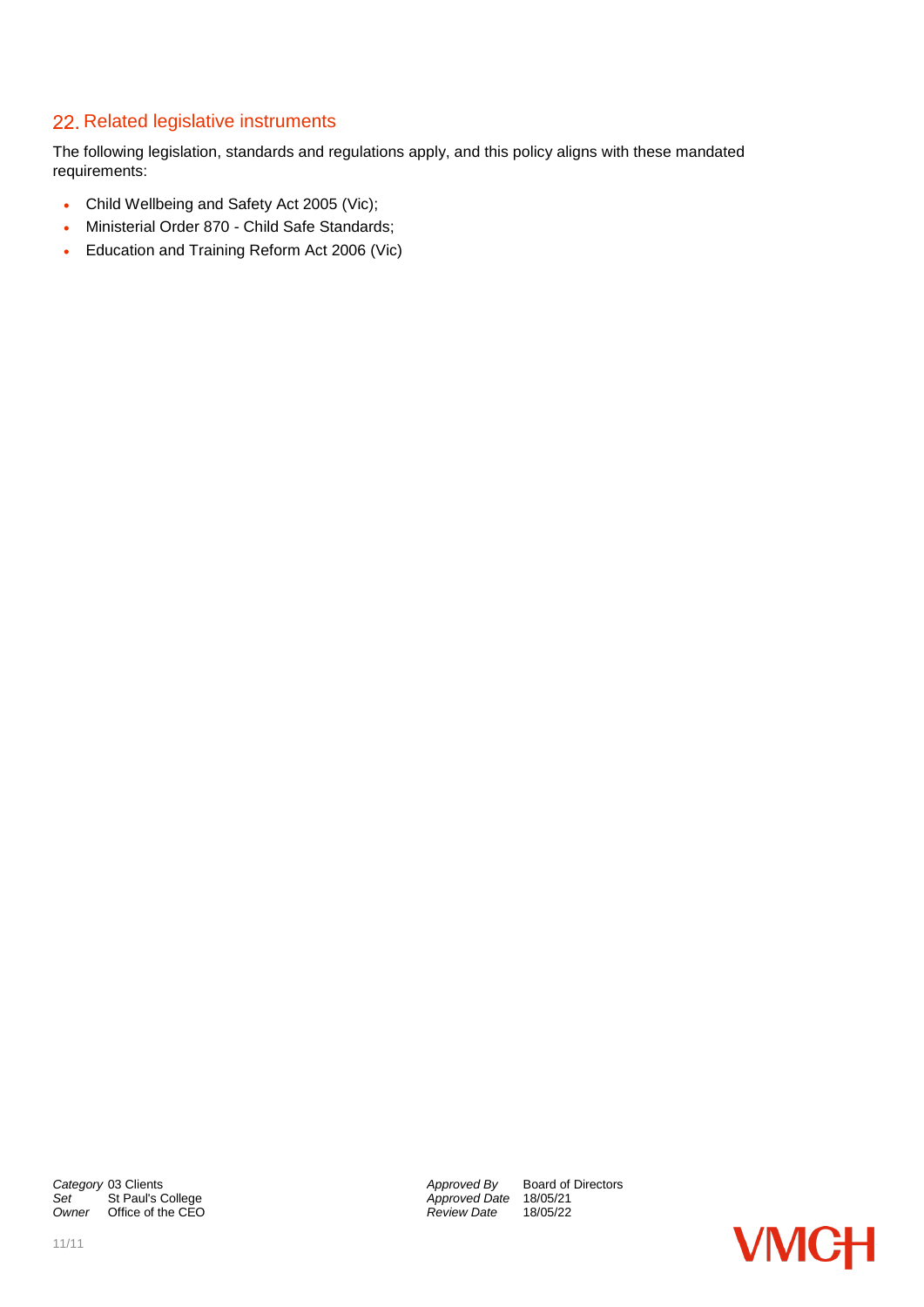## 22. Related legislative instruments

The following legislation, standards and regulations apply, and this policy aligns with these mandated requirements:

- [Child Wellbeing and Safety Act 2005 \(](https://www.legislation.vic.gov.au/in-force/acts/child-wellbeing-and-safety-act-2005/030)Vic);
- [Ministerial Order 870 -](https://www.education.vic.gov.au/school/teachers/health/childprotection/Pages/safeenviro.aspx?Redirect=1) Child Safe Standards;
- Education and Training Reform Act 2006 (Vic)

**Category** 03 Clients *Category* 03 Clients *Approved By* Board of Directors *Set* St Paul's College **Approved Date** 18/05/21 *Owner* Office of the CEO

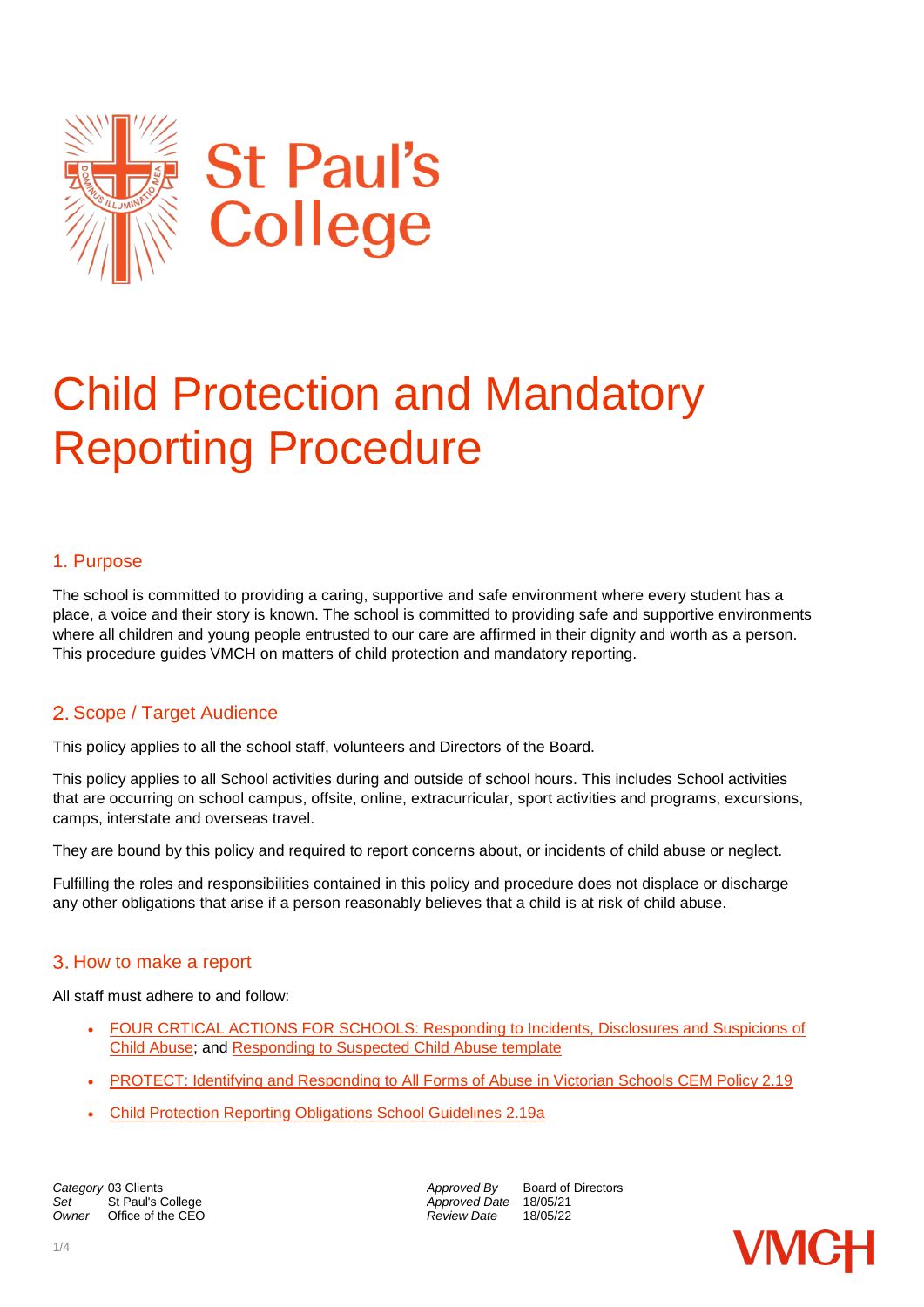

# Child Protection and Mandatory Reporting Procedure

## 1. Purpose

The school is committed to providing a caring, supportive and safe environment where every student has a place, a voice and their story is known. The school is committed to providing safe and supportive environments where all children and young people entrusted to our care are affirmed in their dignity and worth as a person. This procedure guides VMCH on matters of child protection and mandatory reporting.

## 2. Scope / Target Audience

This policy applies to all the school staff, volunteers and Directors of the Board.

This policy applies to all School activities during and outside of school hours. This includes School activities that are occurring on school campus, offsite, online, extracurricular, sport activities and programs, excursions, camps, interstate and overseas travel.

They are bound by this policy and required to report concerns about, or incidents of child abuse or neglect.

Fulfilling the roles and responsibilities contained in this policy and procedure does not displace or discharge any other obligations that arise if a person reasonably believes that a child is at risk of child abuse.

## How to make a report

All staff must adhere to and follow:

- FOUR CRTICAL ACTIONS FOR SCHOOLS: Responding to Incidents, Disclosures and Suspicions of [Child Abuse;](https://www.education.vic.gov.au/Documents/about/programs/health/protect/EarlyChildhood_FourCriticalActions.pdf) and [Responding to Suspected Child Abuse template](https://www.education.vic.gov.au/Documents/about/programs/health/protect/PROTECT_Responding_TemplateSchools.pdf)
- [PROTECT: Identifying and Responding to All Forms of Abuse in Victorian Schools CEM Policy 2.19](https://www.education.vic.gov.au/Documents/about/programs/health/protect/ChildSafeStandard5_SchoolsGuide.pdf)
- [Child Protection Reporting Obligations School Guidelines 2.19a](https://www.macs.vic.edu.au/CatholicEducationMelbourne/media/Documentation/Documents/Policies/Guidelines-2-19a-Police-and-DHHS-interviews.pdf)

**Category** 03 Clients **Approved By** Board of Directors *Approved By* Board of Directors *Approved Date* 18/05/21 Set St Paul's College **Approved Date** 18/05/21<br>
Owner Office of the CEO **Approved Date** 18/05/22 *Office of the CEO* 

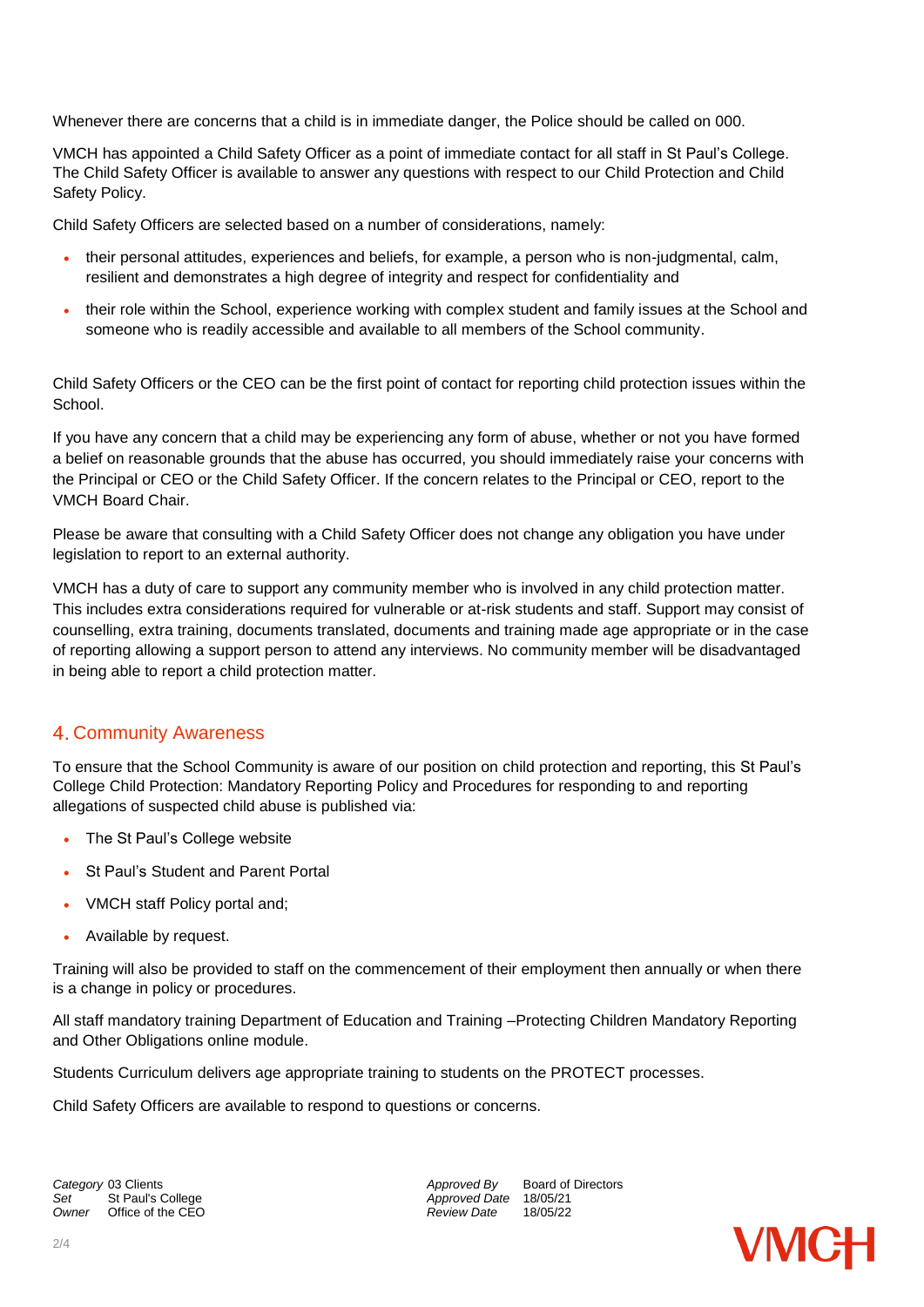Whenever there are concerns that a child is in immediate danger, the Police should be called on 000.

VMCH has appointed a Child Safety Officer as a point of immediate contact for all staff in St Paul's College. The Child Safety Officer is available to answer any questions with respect to our Child Protection and Child Safety Policy.

Child Safety Officers are selected based on a number of considerations, namely:

- their personal attitudes, experiences and beliefs, for example, a person who is non-judgmental, calm, resilient and demonstrates a high degree of integrity and respect for confidentiality and
- their role within the School, experience working with complex student and family issues at the School and someone who is readily accessible and available to all members of the School community.

Child Safety Officers or the CEO can be the first point of contact for reporting child protection issues within the School.

If you have any concern that a child may be experiencing any form of abuse, whether or not you have formed a belief on reasonable grounds that the abuse has occurred, you should immediately raise your concerns with the Principal or CEO or the Child Safety Officer. If the concern relates to the Principal or CEO, report to the VMCH Board Chair.

Please be aware that consulting with a Child Safety Officer does not change any obligation you have under legislation to report to an external authority.

VMCH has a duty of care to support any community member who is involved in any child protection matter. This includes extra considerations required for vulnerable or at-risk students and staff. Support may consist of counselling, extra training, documents translated, documents and training made age appropriate or in the case of reporting allowing a support person to attend any interviews. No community member will be disadvantaged in being able to report a child protection matter.

## 4. Community Awareness

To ensure that the School Community is aware of our position on child protection and reporting, this St Paul's College Child Protection: Mandatory Reporting Policy and Procedures for responding to and reporting allegations of suspected child abuse is published via:

- The St Paul's College website
- St Paul's Student and Parent Portal
- VMCH staff Policy portal and;
- Available by request.

Training will also be provided to staff on the commencement of their employment then annually or when there is a change in policy or procedures.

All staff mandatory training Department of Education and Training –Protecting Children Mandatory Reporting and Other Obligations online module.

Students Curriculum delivers age appropriate training to students on the PROTECT processes.

Child Safety Officers are available to respond to questions or concerns.

*Owner* Office of the CEO *Review Date* 18/05/22

**Category** 03 Clients **Approved By** Board of Directors *Approved By* Board of Directors *Approved By* Board of Directors **St Paul's College** *Approved Date* 18/05/21<br>Chice of the CEO **Approved Date** 18/05/22

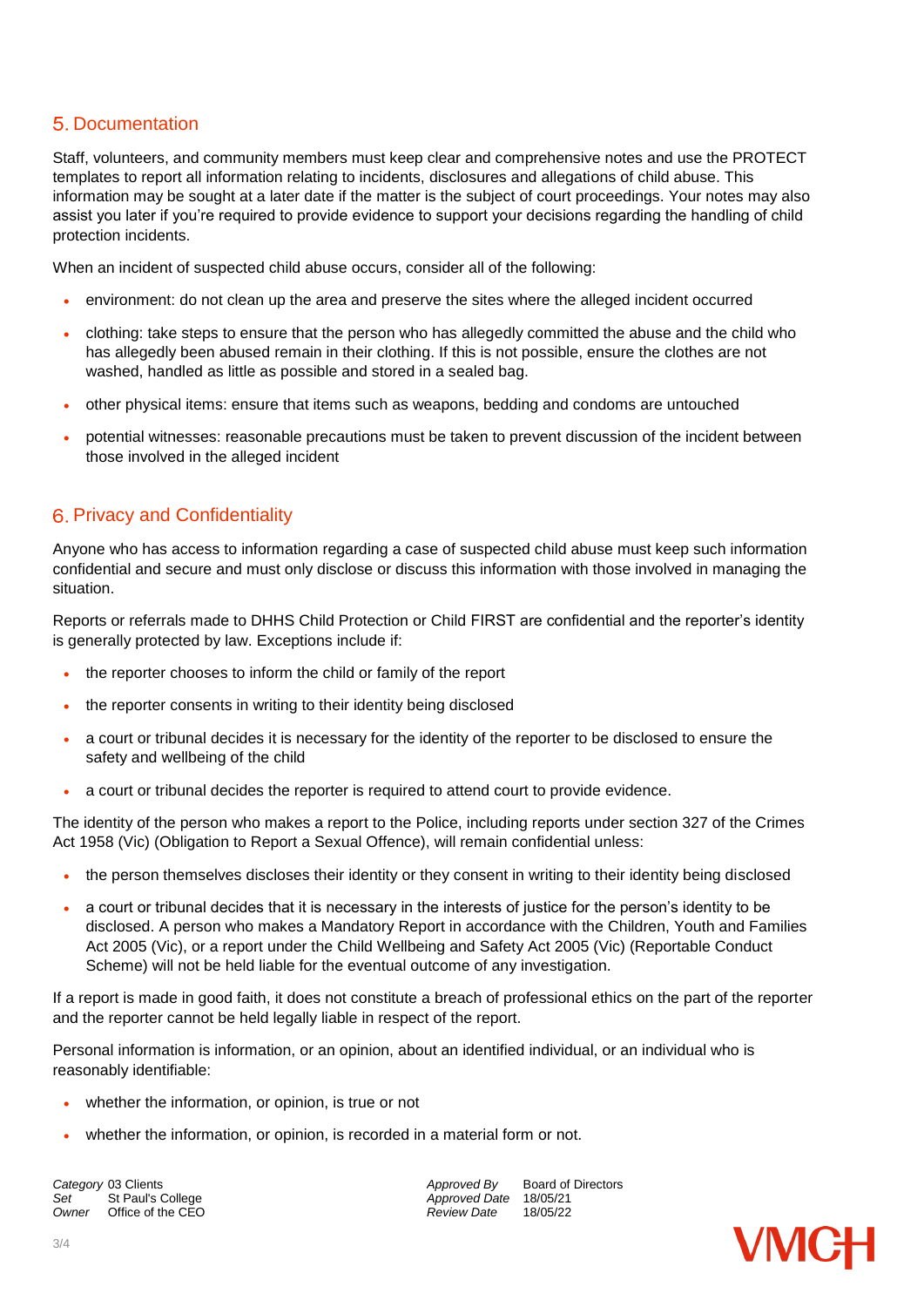## **5. Documentation**

Staff, volunteers, and community members must keep clear and comprehensive notes and use the PROTECT templates to report all information relating to incidents, disclosures and allegations of child abuse. This information may be sought at a later date if the matter is the subject of court proceedings. Your notes may also assist you later if you're required to provide evidence to support your decisions regarding the handling of child protection incidents.

When an incident of suspected child abuse occurs, consider all of the following:

- environment: do not clean up the area and preserve the sites where the alleged incident occurred
- clothing: take steps to ensure that the person who has allegedly committed the abuse and the child who has allegedly been abused remain in their clothing. If this is not possible, ensure the clothes are not washed, handled as little as possible and stored in a sealed bag.
- other physical items: ensure that items such as weapons, bedding and condoms are untouched
- potential witnesses: reasonable precautions must be taken to prevent discussion of the incident between those involved in the alleged incident

## **6. Privacy and Confidentiality**

Anyone who has access to information regarding a case of suspected child abuse must keep such information confidential and secure and must only disclose or discuss this information with those involved in managing the situation.

Reports or referrals made to DHHS Child Protection or Child FIRST are confidential and the reporter's identity is generally protected by law. Exceptions include if:

- the reporter chooses to inform the child or family of the report
- the reporter consents in writing to their identity being disclosed
- a court or tribunal decides it is necessary for the identity of the reporter to be disclosed to ensure the safety and wellbeing of the child
- a court or tribunal decides the reporter is required to attend court to provide evidence.

The identity of the person who makes a report to the Police, including reports under section 327 of the Crimes Act 1958 (Vic) (Obligation to Report a Sexual Offence), will remain confidential unless:

- the person themselves discloses their identity or they consent in writing to their identity being disclosed
- a court or tribunal decides that it is necessary in the interests of justice for the person's identity to be disclosed. A person who makes a Mandatory Report in accordance with the Children, Youth and Families Act 2005 (Vic), or a report under the Child Wellbeing and Safety Act 2005 (Vic) (Reportable Conduct Scheme) will not be held liable for the eventual outcome of any investigation.

If a report is made in good faith, it does not constitute a breach of professional ethics on the part of the reporter and the reporter cannot be held legally liable in respect of the report.

Personal information is information, or an opinion, about an identified individual, or an individual who is reasonably identifiable:

- whether the information, or opinion, is true or not
- whether the information, or opinion, is recorded in a material form or not.

*Owner* Office of the CEO *Review Date* 18/05/22